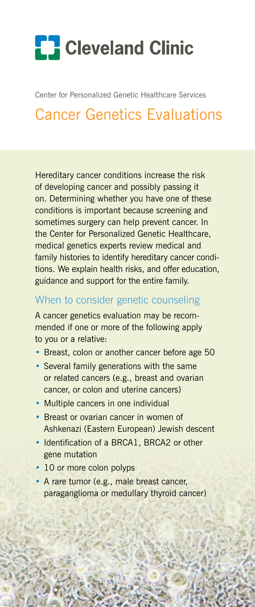# **[]** Cleveland Clinic

Center for Personalized Genetic Healthcare Services

## Cancer Genetics Evaluations

Hereditary cancer conditions increase the risk of developing cancer and possibly passing it on. Determining whether you have one of these conditions is important because screening and sometimes surgery can help prevent cancer. In the Center for Personalized Genetic Healthcare, medical genetics experts review medical and family histories to identify hereditary cancer conditions. We explain health risks, and offer education, guidance and support for the entire family.

#### When to consider genetic counseling

A cancer genetics evaluation may be recommended if one or more of the following apply to you or a relative:

- Breast, colon or another cancer before age 50
- Several family generations with the same or related cancers (e.g., breast and ovarian cancer, or colon and uterine cancers)
- Multiple cancers in one individual
- Breast or ovarian cancer in women of Ashkenazi (Eastern European) Jewish descent
- Identification of a BRCA1, BRCA2 or other gene mutation
- 10 or more colon polyps
- • A rare tumor (e.g., male breast cancer, paraganglioma or medullary thyroid cancer)